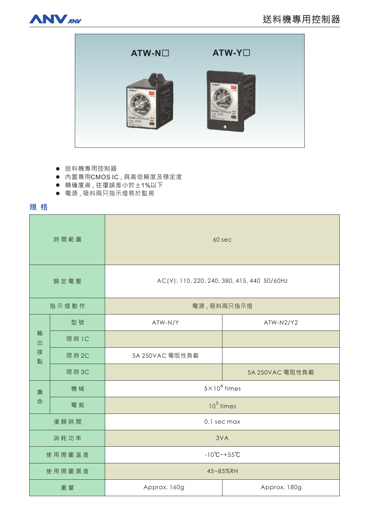



- 送料機專用控制器
- 内置專用CMOSIC,具高信賴度及穩定度
- 精確度高,往復誤差小於±1%以下
- 電源, 吸料兩只指示燈易於監視

規格

| 時間範圍             |        | 60 sec                                      |                 |
|------------------|--------|---------------------------------------------|-----------------|
| 額定電壓             |        | AC(V): 110, 220, 240, 380, 415, 440 50/60Hz |                 |
| 指示燈動作            |        | 電源,吸料兩只指示燈                                  |                 |
| 輸<br>出<br>接<br>點 | 型號     | ATW-N/Y                                     | ATW-N2/Y2       |
|                  | 限 時 1C |                                             |                 |
|                  | 限 時 2C | 5A 250VAC 電阻性負載                             |                 |
|                  | 限時3C   |                                             | 5A 250VAC 電阻性負載 |
| 壽<br>命           | 機械     | $5 \times 10^6$ times                       |                 |
|                  | 電氣     | $105$ times                                 |                 |
| 復歸時間             |        | 0.1 sec max                                 |                 |
| 消耗功率             |        | 3VA                                         |                 |
| 使用周圍溫度           |        | $-10^{\circ}C - +55^{\circ}C$               |                 |
| 使用周圍濕度           |        | 45~85%RH                                    |                 |
| 重量               |        | Approx. 160g                                | Approx. 180g    |